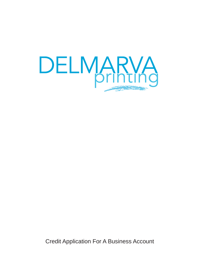

Credit Application For A Business Account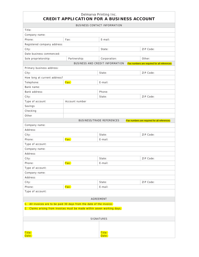## Delmarva Printing Inc. **CREDIT APPLICATION FOR A BUSINESS ACCOUNT**

| <b>BUSINESS CONTACT INFORMATION</b>                                     |                     |                                  |                                              |  |  |
|-------------------------------------------------------------------------|---------------------|----------------------------------|----------------------------------------------|--|--|
| Title:                                                                  |                     |                                  |                                              |  |  |
| Company name:                                                           |                     |                                  |                                              |  |  |
| Phone:                                                                  | Fax:                | E-mail:                          |                                              |  |  |
| Registered company address:                                             |                     |                                  |                                              |  |  |
| City:                                                                   |                     | State:                           | ZIP Code:                                    |  |  |
| Date business commenced:                                                |                     |                                  |                                              |  |  |
| Sole proprietorship:                                                    | Partnership:        | Corporation:                     | Other:                                       |  |  |
|                                                                         |                     | BUSINESS AND CREDIT INFORMATION  | Fax numbers are required for all references. |  |  |
| Primary business address:                                               |                     |                                  |                                              |  |  |
| City:                                                                   | ZIP Code:<br>State: |                                  |                                              |  |  |
| How long at current address?                                            |                     |                                  |                                              |  |  |
| Telephone:                                                              | Fax:                | E-mail:                          |                                              |  |  |
| Bank name:                                                              |                     |                                  |                                              |  |  |
| Bank address:                                                           |                     | Phone:                           |                                              |  |  |
| City:                                                                   |                     | State:                           | ZIP Code:                                    |  |  |
| Type of account                                                         | Account number      |                                  |                                              |  |  |
| Savings                                                                 |                     |                                  |                                              |  |  |
| Checking                                                                |                     |                                  |                                              |  |  |
| Other                                                                   |                     |                                  |                                              |  |  |
|                                                                         |                     | <b>BUSINESS/TRADE REFERENCES</b> | Fax numbers are required for all references. |  |  |
| Company name:                                                           |                     |                                  |                                              |  |  |
| Address:                                                                |                     |                                  |                                              |  |  |
| City:                                                                   |                     | State:                           | ZIP Code:                                    |  |  |
| Phone:                                                                  | Fax:                | E-mail:                          |                                              |  |  |
| Type of account:                                                        |                     |                                  |                                              |  |  |
| Company name:                                                           |                     |                                  |                                              |  |  |
| Address:                                                                |                     |                                  |                                              |  |  |
| City:                                                                   |                     | State:                           | ZIP Code:                                    |  |  |
| Phone:                                                                  | Fax:                | E-mail:                          |                                              |  |  |
| Type of account:                                                        |                     |                                  |                                              |  |  |
| Company name:                                                           |                     |                                  |                                              |  |  |
| Address:                                                                |                     |                                  |                                              |  |  |
| City:                                                                   |                     | State:                           | ZIP Code:                                    |  |  |
| Phone:                                                                  | Fax:                | E-mail:                          |                                              |  |  |
| Type of account:                                                        |                     |                                  |                                              |  |  |
| AGREEMENT                                                               |                     |                                  |                                              |  |  |
| 1. All invoices are to be paid 30 days from the date of the invoice.    |                     |                                  |                                              |  |  |
| 2. Claims arising from invoices must be made within seven working days. |                     |                                  |                                              |  |  |
|                                                                         |                     |                                  |                                              |  |  |
| SIGNATURES                                                              |                     |                                  |                                              |  |  |
|                                                                         |                     |                                  |                                              |  |  |
|                                                                         |                     |                                  |                                              |  |  |
| Title:                                                                  |                     | Title:                           |                                              |  |  |
| Date:                                                                   |                     | Date:                            |                                              |  |  |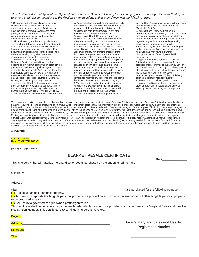## *This Customer Account Application ("Application") is made to Delmarva Printing Inc. for the purpose of inducing Delmarva Printing Inc. to extend credit accommodations to the Applicant named below, and in accordance with the following terms:*

1.Upon approval of this Application, Delmarva Printing Inc., in its sole discretion, and notwithstanding any request of Applicant, shall have the right to terminate Applicant's credit privileges under this Application at any time without prior notice to Applicant, except as otherwise provided by law.

2. All purchases by Applicant of goods and/or services from Delmarva Printing Inc. will be made in accordance with the terms and conditions of this Application and any invoices and/or other documents evidencing Applicant's obligations to Delmarva Printing Inc. , all of which are incorporated herein by this reference. 3. The entire outstanding balance due to Delmarva Printing Inc. on all invoices shall become due in full immediately upon default in the payment of any invoice. Applicant agrees to pay interest in the amount of 1 1/2% per month, or the highest rate permitted by law, on any past due amounts until collected, and Applicant agrees to pay all costs of collection incurred by Delmarva Printing Inc., including attorney's fees and expenses, should a default in payment or any other obligation of Applicant to Delmarva Printing Inc. occur. Applicant shall pay Seller a service charge in an amount equal to the greater of \$30 or 5% of the check balance for all checks returned by Applicant's bank; provided, however, that such service charge shall not be in the violation of the usury laws of the applicable jurisdiction 4. If this Application is not fully approved or if any other adverse action is taken with respect to Applicant's credit with Delmarva Printing Inc., Applicant has the right to request within 60 days of Delmarva Printing Inc. notification of such adverse action, a statement of specific reasons for such action, which statement will be provided within 30 days of said request. The Federal Equal Credit Opportunity Act prohibits creditors from discrimination against credit applicants on the basis of race, color, religion, national origin, sex, marital status, or age (provided that the applicant has the capacity to enter into a binding contract); because all or part of the applicant's income derives from any public assistance programs; or because the applicant has in good faith exercised any right under the Consumer Credit Protection Act. The federal agency that administers compliance with this law concerning the creditor is the Federal Trade Commission, Washington, D.C. 5. This Application and all transactions between Applicant and Delmarva Printing Inc. shall be governed by and interpreted in accordance with the laws and decisions of the state where Delmarva Printing Inc. operating company which

provided this Application is located, without regard to the conflicts of law provisions thereof (the "Applicable State").

6. Applicant and Delmarva Printing Inc. irrevocably agree, and hereby consent and submit to the nonexclusive jurisdiction of any state or federal court located in the Applicable State, with regard to any actions or proceedings arising from, relating to or in connection with Applicant's obligations to Delmarva Printing Inc. or this Application. Applicant hereby waives any right Applicant may have to transfer or change the venue of any litigation filed in such courts.

7. Applicant expressly agrees that Delmarva Printing Inc. shall not be responsible for any product nonconformity as to quantity, quality, or price, unless noted on the original delivery receipt at the time of delivery or unless Delmarva Printing Inc. is notified in writing of any such nonconformity within three (3) days of delivery, by certified mail return receipt requested. 8. Except as to quantity of goods ordered, no terms and conditions set forth in any purchase order or other form of Applicant will apply to sales by Delmarva Printing Inc. to Applicant.

The approximate initial amount of credit that Applicant requires per month shall not be binding upon Delmarva Printing Inc., nor shall Delmarva Printing Inc. incur liability by granting, reducing, increasing or refusing such amount. Applicant hereby certifies that the information furnished under this Application and any other financial statements furnished in connection herewith, is true and correct and that this information is being furnished to Delmarva Printing Inc. for the purpose of including Delmarva Printing Inc. to extend credit to Applicant, and understands that Delmarva Printing Inc. intends to rely upon such information. Applicant understands and agrees to be bound by the above terms and all invoices and other documents furnished by Delmarva Printing Inc. from time to time, all of which are incorporated herein by reference, and to advise Delmarva Printing Inc. in writing by certified mail of any material change in the information provided herein, including but not limited to, change of ownership, address or telephone number. Applicant understands that Delmarva Printing Inc. will retain this Application whether or not it is approved. Applicant hereby authorizes Delmarva Printing Inc. to check Applicant's credit history and trade, bank and references (whether or not referenced in this Application) for customary credit information, to confirm the information contained on this Application, including but not limited to, sending a copy hereof to the trade and bank references, and to release information to other creditors regarding Applicant's credit experience with Delmarva Printing Inc..

**APPLICANT:** 

#### \_\_\_\_\_\_\_\_\_\_\_\_\_\_\_\_\_\_\_\_\_\_\_\_\_\_\_\_\_\_\_\_\_\_\_\_\_\_\_\_\_\_\_\_\_\_\_\_\_\_\_\_\_\_\_\_\_\_\_\_\_\_\_\_\_\_\_\_\_\_\_\_\_\_\_\_\_\_\_\_\_\_\_\_\_\_\_\_\_\_\_\_\_\_\_\_\_\_\_\_\_\_\_\_\_\_\_\_\_\_\_\_\_\_\_\_\_\_\_\_\_\_\_\_\_\_\_\_\_\_\_\_\_\_\_\_\_\_ FULL FIRM NAME **BY AUTHORIZED AGENT**

\_\_\_\_\_\_\_\_\_\_\_\_\_\_\_\_\_\_\_\_\_\_\_\_\_\_\_\_\_\_\_\_\_\_\_\_\_\_\_\_\_\_\_\_\_\_\_\_\_\_\_\_\_\_\_\_\_\_\_\_\_\_\_\_\_\_\_\_\_\_\_\_\_\_\_\_\_\_\_\_\_\_\_\_\_\_\_\_\_\_\_\_\_\_\_\_\_\_\_\_\_\_\_\_\_\_\_\_\_\_\_\_\_\_\_\_\_\_\_\_\_\_\_\_\_\_\_\_\_\_\_\_\_\_\_\_\_ PRINTED NAME & TITLE

# **BLANKET RESALE CERTIFICATE**

\_\_\_\_\_\_\_\_\_\_\_\_\_\_\_\_\_\_\_\_\_\_\_\_\_\_\_\_\_\_\_\_\_\_\_\_\_\_\_\_\_\_\_\_\_\_\_\_\_\_\_\_\_\_\_\_\_\_\_\_\_\_\_\_\_\_\_\_\_\_\_\_\_\_\_\_\_\_\_\_\_\_\_\_\_\_\_\_\_\_\_\_\_\_\_\_\_\_\_\_\_\_\_\_\_\_\_

\_\_\_\_\_\_\_\_\_\_\_\_\_\_\_\_\_\_\_\_\_\_\_\_\_\_\_\_\_\_\_\_\_\_\_\_\_\_\_\_\_\_\_\_\_\_\_\_\_\_\_\_\_\_\_\_\_\_\_\_\_\_\_\_\_\_\_\_\_\_\_\_\_\_\_\_\_\_\_\_\_\_\_\_\_\_\_\_\_\_\_\_\_\_\_\_\_\_\_\_\_\_\_\_\_\_\_

This is to certify that all material, merchandise, or goods purchased by the undersigned from the

Company

## Address

After **Example 2** are purchased for the following purpose:

 $\left( \right)$  Resale as tangible personal property.

) To use or incorporate the tangible personal property in a production activity as a material or part of other tangible personal property to be produced for sale.

 $\Box$  For use by a government agency/non-profit organization

This certificate shall be considered a part of each order which we shall give provided such order bears our Maryland Sales and Use Tax Registration Number. This certificate is to continue in force until revoked.

| Buyer          |  |  |
|----------------|--|--|
|                |  |  |
| <b>Address</b> |  |  |
|                |  |  |
| Signature      |  |  |
|                |  |  |
| <b>Title</b>   |  |  |

Buyer's Maryland Sales and Use Tax Registration Number

\_\_\_\_\_\_\_\_\_\_\_\_\_\_\_\_\_\_\_\_\_\_\_

**Date\_\_\_\_\_\_\_\_\_\_\_\_\_\_\_**